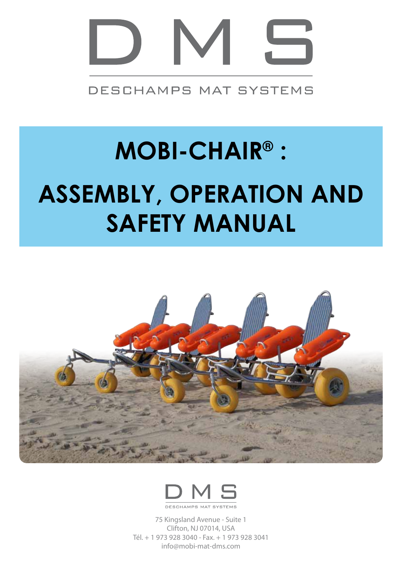

DESCHAMPS MAT SYSTEMS

# **MOBI-CHAIR® :**

# **ASSEMBLY, OPERATION AND SAFETY MANUAL**





75 Kingsland Avenue - Suite 1 Clifton, NJ 07014, USA Tél. + 1 973 928 3040 - Fax. + 1 973 928 3041 info@mobi-mat-dms.com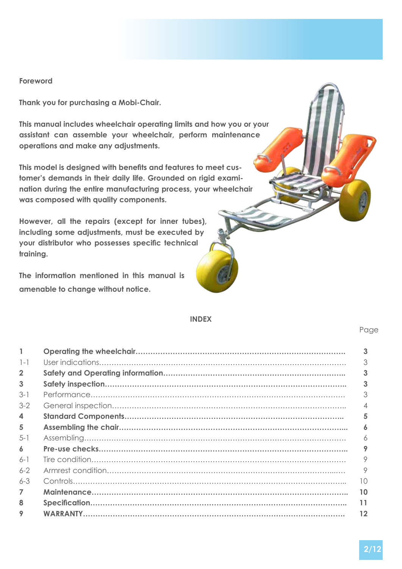#### **Foreword**

**Thank you for purchasing a Mobi-Chair.**

**This manual includes wheelchair operating limits and how you or your assistant can assemble your wheelchair, perform maintenance operations and make any adjustments.**

**This model is designed with benefits and features to meet customer's demands in their daily life. Grounded on rigid examination during the entire manufacturing process, your wheelchair was composed with quality components.**

**However, all the repairs (except for inner tubes), including some adjustments, must be executed by your distributor who possesses specific technical training.**

**The information mentioned in this manual is amenable to change without notice.**

#### **INDEX**

|                | 3  |
|----------------|----|
| $1 - 1$        | 3  |
| $\overline{2}$ | 3  |
| 3              | 3  |
| $3-1$          | 3  |
| $3-2$          |    |
| 4              | 5  |
| 5              | 6  |
| $5 - 1$        | 6  |
| 6              | 9  |
| $6-1$          | 9  |
| $6 - 2$        | 9  |
| $6 - 3$        | 10 |
| 7              | 10 |
| 8              | 11 |
| 9              | 12 |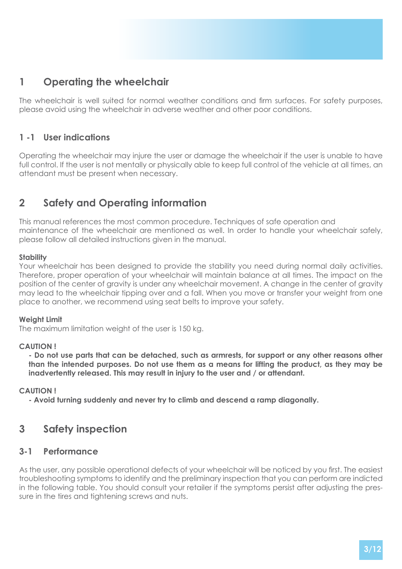# **1 Operating the wheelchair**

The wheelchair is well suited for normal weather conditions and firm surfaces. For safety purposes, please avoid using the wheelchair in adverse weather and other poor conditions.

# **1 -1 User indications**

Operating the wheelchair may injure the user or damage the wheelchair if the user is unable to have full control. If the user is not mentally or physically able to keep full control of the vehicle at all times, an attendant must be present when necessary.

# **2 Safety and Operating information**

This manual references the most common procedure. Techniques of safe operation and maintenance of the wheelchair are mentioned as well. In order to handle your wheelchair safely, please follow all detailed instructions given in the manual.

#### **Stability**

Your wheelchair has been designed to provide the stability you need during normal daily activities. Therefore, proper operation of your wheelchair will maintain balance at all times. The impact on the position of the center of gravity is under any wheelchair movement. A change in the center of gravity may lead to the wheelchair tipping over and a fall. When you move or transfer your weight from one place to another, we recommend using seat belts to improve your safety.

#### **Weight Limit**

The maximum limitation weight of the user is 150 kg.

#### **CAUTION !**

**- Do not use parts that can be detached, such as armrests, for support or any other reasons other than the intended purposes. Do not use them as a means for lifting the product, as they may be inadvertently released. This may result in injury to the user and / or attendant.**

#### **CAUTION !**

**- Avoid turning suddenly and never try to climb and descend a ramp diagonally.**

# **3 Safety inspection**

#### **3-1 Performance**

As the user, any possible operational defects of your wheelchair will be noticed by you first. The easiest troubleshooting symptoms to identify and the preliminary inspection that you can perform are indicted in the following table. You should consult your retailer if the symptoms persist after adjusting the pressure in the tires and tightening screws and nuts.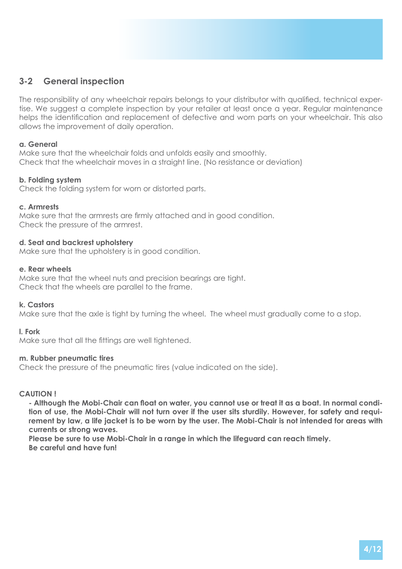# **3-2 General inspection**

The responsibility of any wheelchair repairs belongs to your distributor with qualified, technical expertise. We suggest a complete inspection by your retailer at least once a year. Regular maintenance helps the identification and replacement of defective and worn parts on your wheelchair. This also allows the improvement of daily operation.

#### **a. General**

Make sure that the wheelchair folds and unfolds easily and smoothly. Check that the wheelchair moves in a straight line. (No resistance or deviation)

#### **b. Folding system**

Check the folding system for worn or distorted parts.

#### **c. Armrests**

Make sure that the armrests are firmly attached and in good condition. Check the pressure of the armrest.

#### **d. Seat and backrest upholstery**

Make sure that the upholstery is in good condition.

#### **e. Rear wheels**

Make sure that the wheel nuts and precision bearings are tight. Check that the wheels are parallel to the frame.

#### **k. Castors**

Make sure that the axle is tight by turning the wheel. The wheel must gradually come to a stop.

#### **l. Fork**

Make sure that all the fittings are well tightened.

#### **m. Rubber pneumatic tires**

Check the pressure of the pneumatic tires (value indicated on the side).

#### **CAUTION !**

**- Although the Mobi-Chair can float on water, you cannot use or treat it as a boat. In normal condition of use, the Mobi-Chair will not turn over if the user sits sturdily. However, for safety and requirement by law, a life jacket is to be worn by the user. The Mobi-Chair is not intended for areas with currents or strong waves.**

**Please be sure to use Mobi-Chair in a range in which the lifeguard can reach timely. Be careful and have fun!**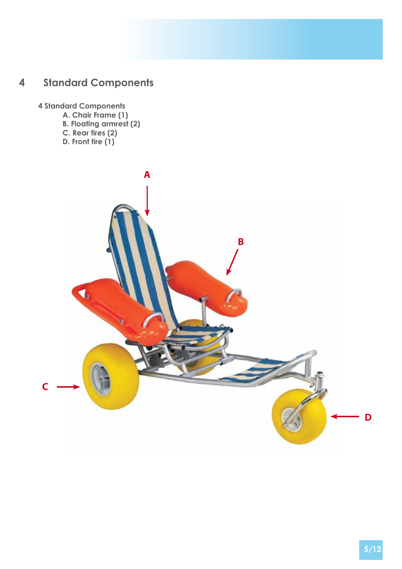# **4 Standard Components**

## **4 Standard Components**

- **A. Chair Frame (1)**
- **B. Floating armrest (2)**
- **C. Rear tires (2)**
- **D. Front tire (1)**

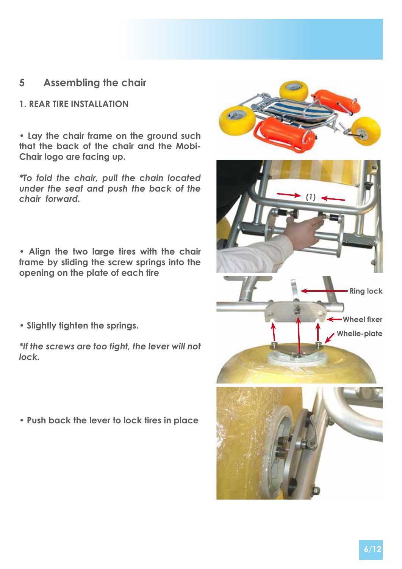# **5 Assembling the chair**

## **1. REAR TIRE INSTALLATION**

**• Lay the chair frame on the ground such that the back of the chair and the Mobi-Chair logo are facing up.** 

*\*To fold the chair, pull the chain located under the seat and push the back of the chair forward.*

**• Align the two large tires with the chair frame by sliding the screw springs into the opening on the plate of each tire**

**• Slightly tighten the springs.**

*\*If the screws are too tight, the lever will not lock.*

**• Push back the lever to lock tires in place**

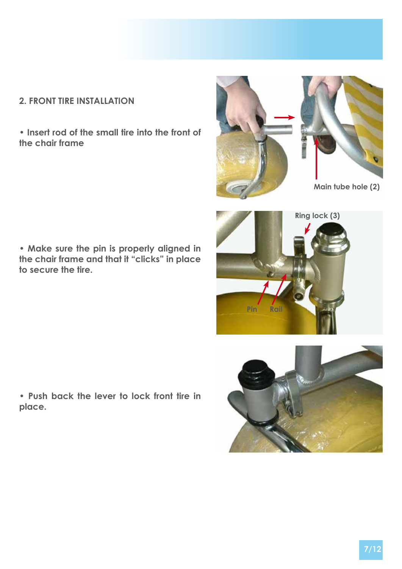# **2. FRONT TIRE INSTALLATION**

**• Insert rod of the small tire into the front of the chair frame**



**• Make sure the pin is properly aligned in the chair frame and that it "clicks" in place to secure the tire.**





**• Push back the lever to lock front tire in place.**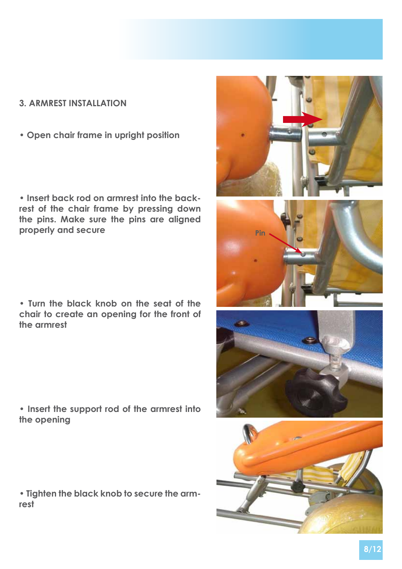## **3. ARMREST INSTALLATION**

**• Open chair frame in upright position**

**• Insert back rod on armrest into the backrest of the chair frame by pressing down the pins. Make sure the pins are aligned properly and secure**

**• Turn the black knob on the seat of the chair to create an opening for the front of the armrest**

**• Insert the support rod of the armrest into the opening**

**• Tighten the black knob to secure the armrest**

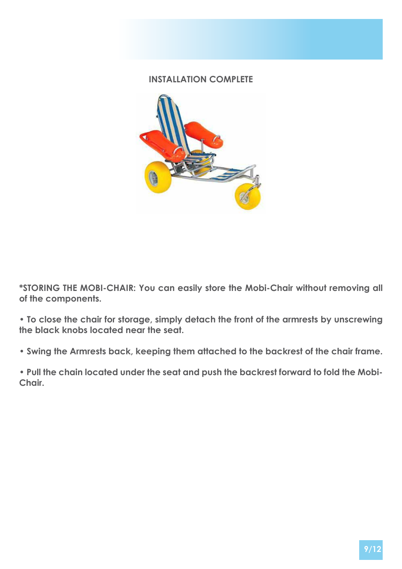# **INSTALLATION COMPLETE**



**\*STORING THE MOBI-CHAIR: You can easily store the Mobi-Chair without removing all of the components.** 

**• To close the chair for storage, simply detach the front of the armrests by unscrewing the black knobs located near the seat.** 

**• Swing the Armrests back, keeping them attached to the backrest of the chair frame.**

**• Pull the chain located under the seat and push the backrest forward to fold the Mobi-Chair.**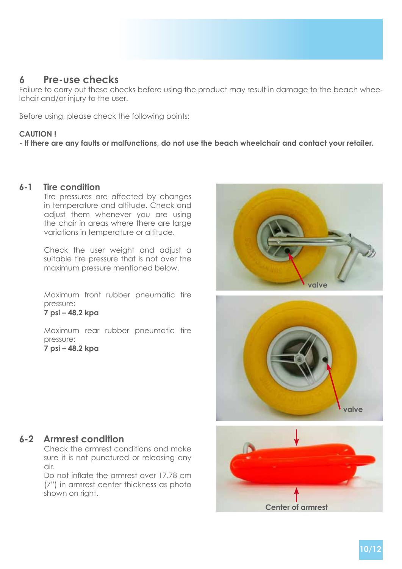# **6 Pre-use checks**

Failure to carry out these checks before using the product may result in damage to the beach wheelchair and/or injury to the user.

Before using, please check the following points:

#### **CAUTION !**

**- If there are any faults or malfunctions, do not use the beach wheelchair and contact your retailer.**

#### **6-1 Tire condition**

Tire pressures are affected by changes in temperature and altitude. Check and adjust them whenever you are using the chair in areas where there are large variations in temperature or altitude.

Check the user weight and adjust a suitable tire pressure that is not over the maximum pressure mentioned below.

Maximum front rubber pneumatic tire pressure:

#### **7 psi – 48.2 kpa**

Maximum rear rubber pneumatic tire pressure: **7 psi – 48.2 kpa**





# **Center of armrest**

#### **6-2 Armrest condition**

Check the armrest conditions and make sure it is not punctured or releasing any air.

Do not inflate the armrest over 17.78 cm (7") in armrest center thickness as photo shown on right.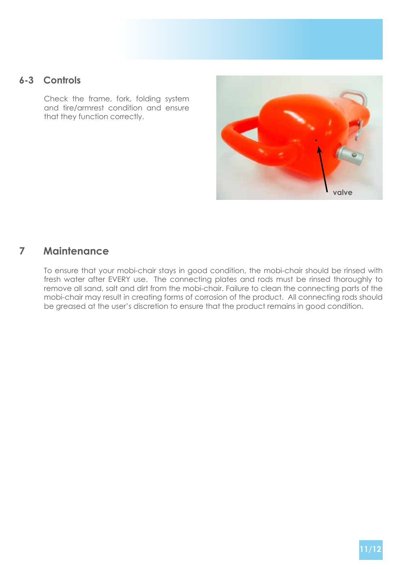# **6-3 Controls**

Check the frame, fork, folding system and tire/armrest condition and ensure that they function correctly.



# **7 Maintenance**

To ensure that your mobi-chair stays in good condition, the mobi-chair should be rinsed with fresh water after EVERY use. The connecting plates and rods must be rinsed thoroughly to remove all sand, salt and dirt from the mobi-chair. Failure to clean the connecting parts of the mobi-chair may result in creating forms of corrosion of the product. All connecting rods should be greased at the user's discretion to ensure that the product remains in good condition.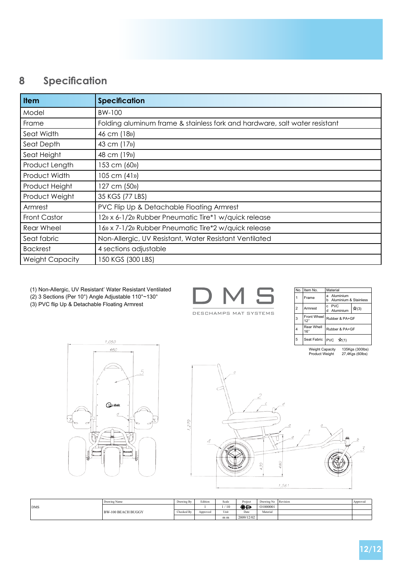# **8 Specification**

| <b>Item</b>            | <b>Specification</b>                                                       |
|------------------------|----------------------------------------------------------------------------|
| Model                  | BW-100                                                                     |
| Frame                  | Folding aluminum frame & stainless fork and hardware, salt water resistant |
| Seat Width             | 46 cm (18»)                                                                |
| Seat Depth             | 43 cm (17 <sub>11</sub> )                                                  |
| Seat Height            | 48 cm (19 <sub>11</sub> )                                                  |
| Product Length         | 153 cm (60»)                                                               |
| Product Width          | 105 cm (41»)                                                               |
| Product Height         | 127 cm (50 <sub>1</sub> )                                                  |
| Product Weight         | 35 KGS (77 LBS)                                                            |
| Armrest                | PVC Flip Up & Detachable Floating Armrest                                  |
| <b>Front Castor</b>    | 12» x 6-1/2» Rubber Pneumatic Tire*1 w/quick release                       |
| Rear Wheel             | 16» x 7-1/2» Rubber Pneumatic Tire*2 w/quick release                       |
| Seat fabric            | Non-Allergic, UV Resistant, Water Resistant Ventilated                     |
| <b>Backrest</b>        | 4 sections adjustable                                                      |
| <b>Weight Capacity</b> | 150 KGS (300 LBS)                                                          |

(1) Non-Allergic, UV Resistant' Water Resistant Ventilated

(2) 3 Sections (Per 10°) Angle Adjustable 110°~130°

(3) PVC flip Up & Detachable Floating Armrest

| DESCHAMPS MAT SYSTEMS |  |  |
|-----------------------|--|--|

| No.            | Item No.           | Material                                |  |  |  |
|----------------|--------------------|-----------------------------------------|--|--|--|
| 1              | Frame              | Aluminium<br>Aluminium & Stainless<br>h |  |  |  |
| $\overline{2}$ | Armrest            | c PVC<br>$\star$ (3)<br>Aluminium       |  |  |  |
| 3              | Front Wheel<br>12" | Rubber & PA+GF                          |  |  |  |
| 4              | Rear Whell<br>16"  | Rubber & PA+GF                          |  |  |  |
| 5              |                    | Seat Fabric   PVC $\hat{\mathbf{x}}(1)$ |  |  |  |

135Kgs (300lbs)<br>27,4Kgs (60lbs) Weight Capacity<br>Product Weight



1,050



|     | Drawing Name              | Drawing By | Edition  | Scale | Project    | Drawing No Revision | Approved |
|-----|---------------------------|------------|----------|-------|------------|---------------------|----------|
| DMS |                           |            |          | (10)  | ⊕⊖         | O1000001            |          |
|     | <b>BW-100 BEACH BUGGY</b> | Checked By | Approved | Univ  | Date       | Material            |          |
|     |                           |            |          | m m   | 2009/12/02 |                     |          |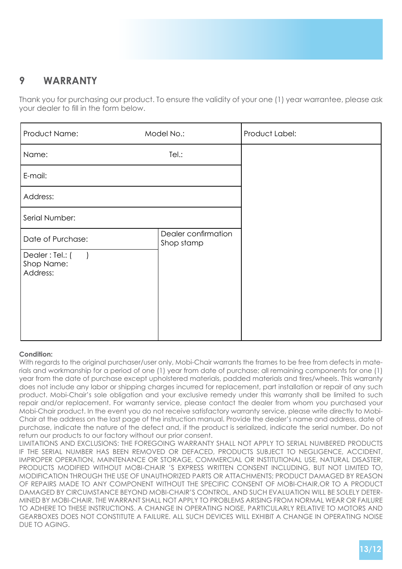# **9 WARRANTY**

Thank you for purchasing our product. To ensure the validity of your one (1) year warrantee, please ask your dealer to fill in the form below.

| Product Name:                                                                              | Model No.:                        | Product Label: |  |  |  |
|--------------------------------------------------------------------------------------------|-----------------------------------|----------------|--|--|--|
| Name:                                                                                      | Tel.:                             |                |  |  |  |
| E-mail:                                                                                    |                                   |                |  |  |  |
| Address:                                                                                   |                                   |                |  |  |  |
| Serial Number:                                                                             |                                   |                |  |  |  |
| Date of Purchase:                                                                          | Dealer confirmation<br>Shop stamp |                |  |  |  |
| Dealer: Tel.: (<br>$\left( \begin{array}{c} \end{array} \right)$<br>Shop Name:<br>Address: |                                   |                |  |  |  |

#### **Condition:**

With regards to the original purchaser/user only, Mobi-Chair warrants the frames to be free from defects in materials and workmanship for a period of one (1) year from date of purchase; all remaining components for one (1) year from the date of purchase except upholstered materials, padded materials and tires/wheels. This warranty does not include any labor or shipping charges incurred for replacement, part installation or repair of any such product. Mobi-Chair's sole obligation and your exclusive remedy under this warranty shall be limited to such repair and/or replacement. For warranty service, please contact the dealer from whom you purchased your Mobi-Chair product. In the event you do not receive satisfactory warranty service, please write directly to Mobi-Chair at the address on the last page of the instruction manual. Provide the dealer's name and address, date of purchase, indicate the nature of the defect and, if the product is serialized, indicate the serial number. Do not return our products to our factory without our prior consent.

LIMITATIONS AND EXCLUSIONS: THE FOREGOING WARRANTY SHALL NOT APPLY TO SERIAL NUMBERED PRODUCTS IF THE SERIAL NUMBER HAS BEEN REMOVED OR DEFACED, PRODUCTS SUBJECT TO NEGLIGENCE, ACCIDENT, IMPROPER OPERATION, MAINTENANCE OR STORAGE, COMMERCIAL OR INSTITUTIONAL USE, NATURAL DISASTER, PRODUCTS MODIFIED WITHOUT MOBI-CHAIR 'S EXPRESS WRITTEN CONSENT INCLUDING, BUT NOT LIMITED TO, MODIFICATION THROUGH THE USE OF UNAUTHORIZED PARTS OR ATTACHMENTS; PRODUCT DAMAGED BY REASON OF REPAIRS MADE TO ANY COMPONENT WITHOUT THE SPECIFIC CONSENT OF MOBI-CHAIR,OR TO A PRODUCT DAMAGED BY CIRCUMSTANCE BEYOND MOBI-CHAIR'S CONTROL, AND SUCH EVALUATION WILL BE SOLELY DETER-MINED BY MOBI-CHAIR. THE WARRANT SHALL NOT APPLY TO PROBLEMS ARISING FROM NORMAL WEAR OR FAILURE TO ADHERE TO THESE INSTRUCTIONS. A CHANGE IN OPERATING NOISE, PARTICULARLY RELATIVE TO MOTORS AND GEARBOXES DOES NOT CONSTITUTE A FAILURE. ALL SUCH DEVICES WILL EXHIBIT A CHANGE IN OPERATING NOISE DUE TO AGING.